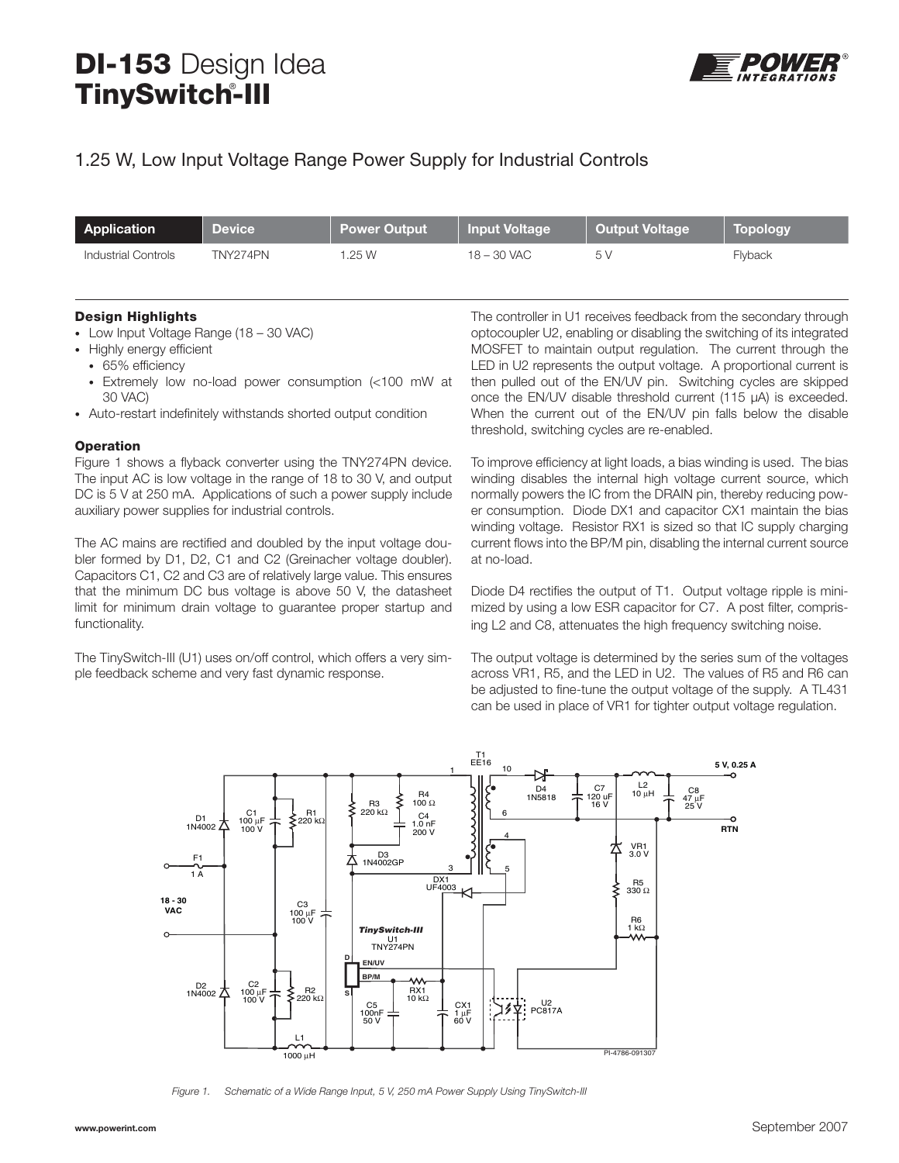# **DI-153** Design Idea **TinySwitch-III** ®



## 1.25 W, Low Input Voltage Range Power Supply for Industrial Controls

| Application         | <b>Device</b> | <b>Power Output</b> | Input Voltage | Output Voltage | <b>Topology</b> |
|---------------------|---------------|---------------------|---------------|----------------|-----------------|
| Industrial Controls | TNY274PN      | .25W                | 18 – 30 VAC   | 5 V            | Flyback         |

#### **Design Highlights**

- Low Input Voltage Range (18 30 VAC)
- Highly energy efficient
	- 65% efficiency
- Extremely low no-load power consumption (<100 mW at 30 VAC)
- Auto-restart indefinitely withstands shorted output condition

#### **Operation**

Figure 1 shows a flyback converter using the TNY274PN device. The input AC is low voltage in the range of 18 to 30 V, and output DC is 5 V at 250 mA. Applications of such a power supply include auxiliary power supplies for industrial controls.

The AC mains are rectified and doubled by the input voltage doubler formed by D1, D2, C1 and C2 (Greinacher voltage doubler). Capacitors C1, C2 and C3 are of relatively large value. This ensures that the minimum DC bus voltage is above 50 V, the datasheet limit for minimum drain voltage to guarantee proper startup and functionality.

The TinySwitch-III (U1) uses on/off control, which offers a very simple feedback scheme and very fast dynamic response.

The controller in U1 receives feedback from the secondary through optocoupler U2, enabling or disabling the switching of its integrated MOSFET to maintain output regulation. The current through the LED in U2 represents the output voltage. A proportional current is then pulled out of the EN/UV pin. Switching cycles are skipped once the EN/UV disable threshold current (115 μA) is exceeded. When the current out of the EN/UV pin falls below the disable threshold, switching cycles are re-enabled.

To improve efficiency at light loads, a bias winding is used. The bias winding disables the internal high voltage current source, which normally powers the IC from the DRAIN pin, thereby reducing power consumption. Diode DX1 and capacitor CX1 maintain the bias winding voltage. Resistor RX1 is sized so that IC supply charging current flows into the BP/M pin, disabling the internal current source at no-load.

Diode D4 rectifies the output of T1. Output voltage ripple is minimized by using a low ESR capacitor for C7. A post filter, comprising L2 and C8, attenuates the high frequency switching noise.

The output voltage is determined by the series sum of the voltages across VR1, R5, and the LED in U2. The values of R5 and R6 can be adjusted to fine-tune the output voltage of the supply. A TL431 can be used in place of VR1 for tighter output voltage regulation.



Figure 1. Schematic of a Wide Range Input, 5 V, 250 mA Power Supply Using TinySwitch-III